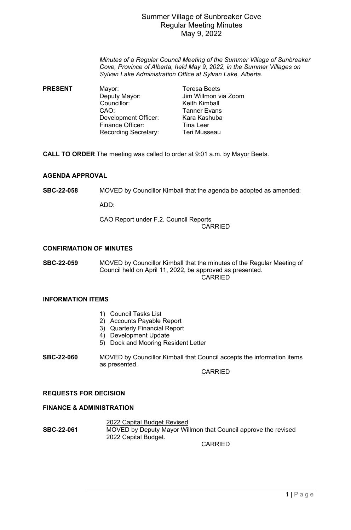## Summer Village of Sunbreaker Cove Regular Meeting Minutes May 9, 2022

*Minutes of a Regular Council Meeting of the Summer Village of Sunbreaker Cove, Province of Alberta, held May 9, 2022, in the Summer Villages on Sylvan Lake Administration Office at Sylvan Lake, Alberta.*

**PRESENT** Mayor: Teresa Beets Deputy Mayor: Jim Willmon via Zoom Councillor: Keith Kimball<br>CAO: Tanner Evans Tanner Evans<br>Kara Kashuba Development Officer: Finance Officer: Tina Leer Recording Secretary: Teri Musseau

**CALL TO ORDER** The meeting was called to order at 9:01 a.m. by Mayor Beets.

## **AGENDA APPROVAL**

**SBC-22-058 SBC-22-058** MOVED by Councillor Kimball that the agenda be adopted as amended:

ADD:

CAO Report under F.2. Council Reports

**CARRIED** 

### **CONFIRMATION OF MINUTES**

**SBC-22-059** MOVED by Councillor Kimball that the minutes of the Regular Meeting of Council held on April 11, 2022, be approved as presented. CARRIED

## **INFORMATION ITEMS**

- 1) Council Tasks List
- 2) Accounts Payable Report
- 3) Quarterly Financial Report
- 4) Development Update
- 5) Dock and Mooring Resident Letter
- **SBC-22-060** MOVED by Councillor Kimball that Council accepts the information items as presented.

CARRIED

#### **REQUESTS FOR DECISION**

#### **FINANCE & ADMINISTRATION**

**88C-22-061** 2022 Capital Budget Revised<br>MOVED by Deputy Mayor Wil **SBC-22-061** MOVED by Deputy Mayor Willmon that Council approve the revised 2022 Capital Budget.

CARRIED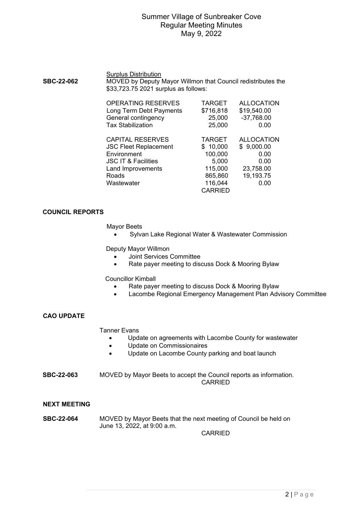# Summer Village of Sunbreaker Cove Regular Meeting Minutes May 9, 2022

#### **Surplus Distribution**

| <b>SBC-22-062</b> | MOVED by Deputy Mayor Willmon that Council redistributes the |
|-------------------|--------------------------------------------------------------|
|                   | \$33,723.75 2021 surplus as follows:                         |

| <b>OPERATING RESERVES</b><br>Long Term Debt Payments | <b>TARGET</b><br>\$716,818 | <b>ALLOCATION</b><br>\$19,540.00 |
|------------------------------------------------------|----------------------------|----------------------------------|
| General contingency                                  | 25,000                     | $-37,768.00$                     |
| <b>Tax Stabilization</b>                             | 25,000                     | 0.00                             |
| <b>CAPITAL RESERVES</b>                              | <b>TARGET</b>              | <b>ALLOCATION</b>                |
| <b>JSC Fleet Replacement</b>                         | \$10,000                   | \$9,000.00                       |
| Environment                                          | 100,000                    | 0.00                             |
| <b>JSC IT &amp; Facilities</b>                       | 5,000                      | 0.00                             |
| Land Improvements                                    | 115,000                    | 23,758.00                        |
| Roads                                                | 865,860                    | 19,193.75                        |
| Wastewater                                           | 116,044                    | 0.00                             |
|                                                      | <b>CARRIED</b>             |                                  |

#### **COUNCIL REPORTS**

Mayor Beets

• Sylvan Lake Regional Water & Wastewater Commission

Deputy Mayor Willmon

- Joint Services Committee
- Rate payer meeting to discuss Dock & Mooring Bylaw

Councillor Kimball

- Rate payer meeting to discuss Dock & Mooring Bylaw
- Lacombe Regional Emergency Management Plan Advisory Committee

## **CAO UPDATE**

Tanner Evans

- Update on agreements with Lacombe County for wastewater
- Update on Commissionaires
- Update on Lacombe County parking and boat launch

**SBC-22-063** MOVED by Mayor Beets to accept the Council reports as information. **CARRIED** 

#### **NEXT MEETING**

**SBC-22-064** MOVED by Mayor Beets that the next meeting of Council be held on June 13, 2022, at 9:00 a.m.

CARRIED